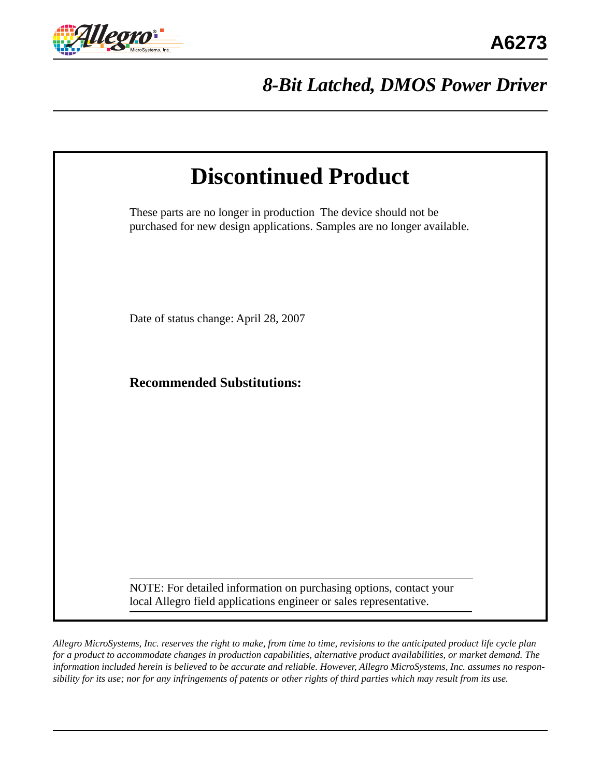

# *8-Bit Latched, DMOS Power Driver*

| <b>Discontinued Product</b>                                                                                                                 |  |
|---------------------------------------------------------------------------------------------------------------------------------------------|--|
| These parts are no longer in production The device should not be<br>purchased for new design applications. Samples are no longer available. |  |
| Date of status change: April 28, 2007                                                                                                       |  |
| <b>Recommended Substitutions:</b>                                                                                                           |  |
|                                                                                                                                             |  |
|                                                                                                                                             |  |
| NOTE: For detailed information on purchasing options, contact your                                                                          |  |
| local Allegro field applications engineer or sales representative.                                                                          |  |

*Allegro MicroSystems, Inc. reserves the right to make, from time to time, revisions to the anticipated product life cycle plan for a product to accommodate changes in production capabilities, alternative product availabilities, or market demand. The information included herein is believed to be accurate and reliable. However, Allegro MicroSystems, Inc. assumes no responsibility for its use; nor for any infringements of patents or other rights of third parties which may result from its use.*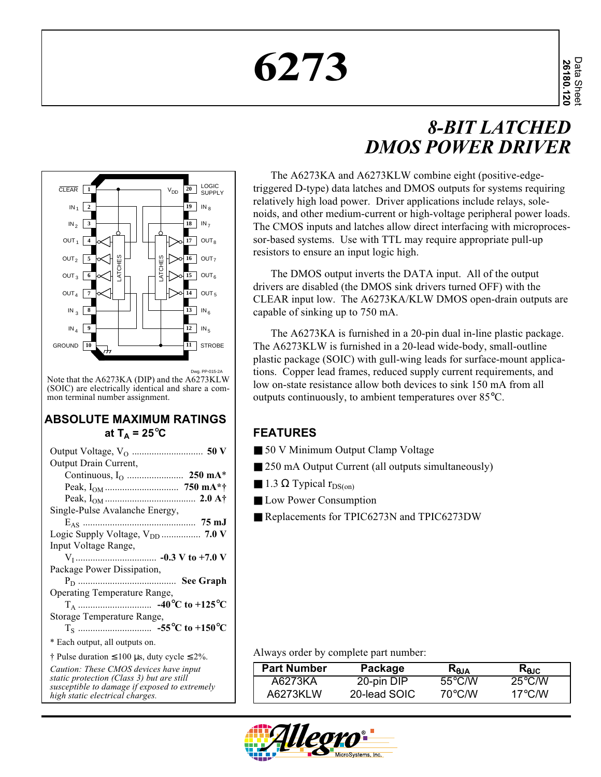# **6273**

# *8-BIT LATCHED DMOS POWER DRIVER*



Note that the A6273KA (DIP) and the A6273KLW (SOIC) are electrically identical and share a common terminal number assignment.

#### **ABSOLUTE MAXIMUM RATINGS** at  $T_A = 25^\circ \text{C}$

| Output Drain Current,                                   |
|---------------------------------------------------------|
|                                                         |
|                                                         |
|                                                         |
| Single-Pulse Avalanche Energy,                          |
|                                                         |
|                                                         |
| Input Voltage Range,                                    |
|                                                         |
| Package Power Dissipation,                              |
|                                                         |
| Operating Temperature Range,                            |
|                                                         |
| Storage Temperature Range,                              |
|                                                         |
| * Each output, all outputs on.                          |
| † Pulse duration $\leq 100$ µs, duty cycle $\leq 2\%$ . |
| Caution: These CMOS devices have input                  |
| static protection (Class 3) but are still               |
| susceptible to damage if exposed to extremely           |

*high static electrical charges.*

The A6273KA and A6273KLW combine eight (positive-edgetriggered D-type) data latches and DMOS outputs for systems requiring relatively high load power. Driver applications include relays, solenoids, and other medium-current or high-voltage peripheral power loads. The CMOS inputs and latches allow direct interfacing with microprocessor-based systems. Use with TTL may require appropriate pull-up resistors to ensure an input logic high.

The DMOS output inverts the DATA input. All of the output drivers are disabled (the DMOS sink drivers turned OFF) with the CLEAR input low. The A6273KA/KLW DMOS open-drain outputs are capable of sinking up to 750 mA.

The A6273KA is furnished in a 20-pin dual in-line plastic package. The A6273KLW is furnished in a 20-lead wide-body, small-outline plastic package (SOIC) with gull-wing leads for surface-mount applications. Copper lead frames, reduced supply current requirements, and low on-state resistance allow both devices to sink 150 mA from all outputs continuously, to ambient temperatures over 85°C.

#### **FEATURES**

- 50 V Minimum Output Clamp Voltage
- 250 mA Output Current (all outputs simultaneously)
- **1.3**  $\Omega$  Typical  $r_{DS(on)}$
- Low Power Consumption
- Replacements for TPIC6273N and TPIC6273DW

Always order by complete part number:

| <b>Part Number</b> | Package      | K <sub>aja</sub> | Kajc             |
|--------------------|--------------|------------------|------------------|
| A6273KA            | 20-pin DIP   | $55^{\circ}$ C/W | $25^{\circ}$ C/W |
| A6273KLW           | 20-lead SOIC | 70°C./W          | $17^{\circ}$ C/W |

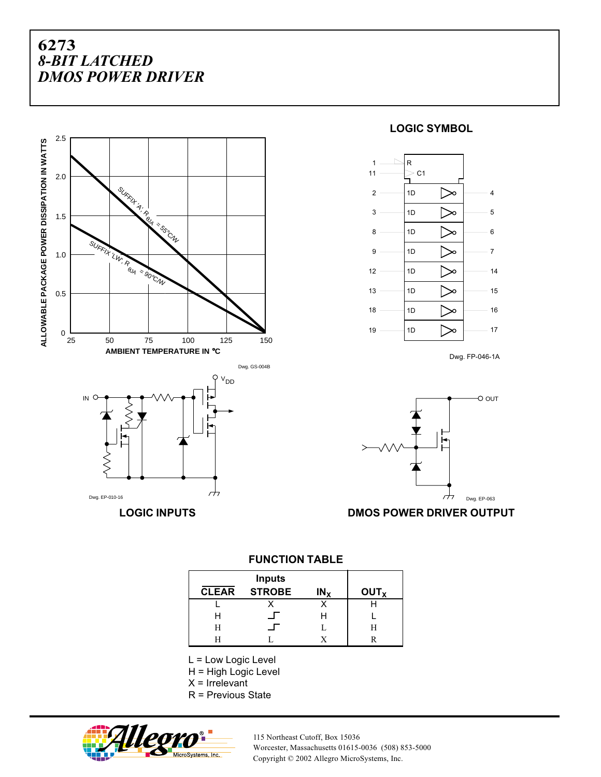

Dwg. EP-010-16

#### **LOGIC SYMBOL**



Dwg. FP-046-1A



**LOGIC INPUTS DMOS POWER DRIVER OUTPUT**

**FUNCTION TABLE**

|              | <b>Inputs</b> |                 |                        |
|--------------|---------------|-----------------|------------------------|
| <b>CLEAR</b> | <b>STROBE</b> | IN <sub>x</sub> | <b>OUT<sub>x</sub></b> |
|              |               |                 |                        |
|              |               |                 |                        |
| н            |               |                 | Н                      |
|              |               |                 |                        |

L = Low Logic Level

H = High Logic Level

 $X =$  Irrelevant

 $\overline{a}$ 

R = Previous State



115 Northeast Cutoff, Box 15036 Worcester, Massachusetts 01615-0036 (508) 853-5000 Copyright © 2002 Allegro MicroSystems, Inc.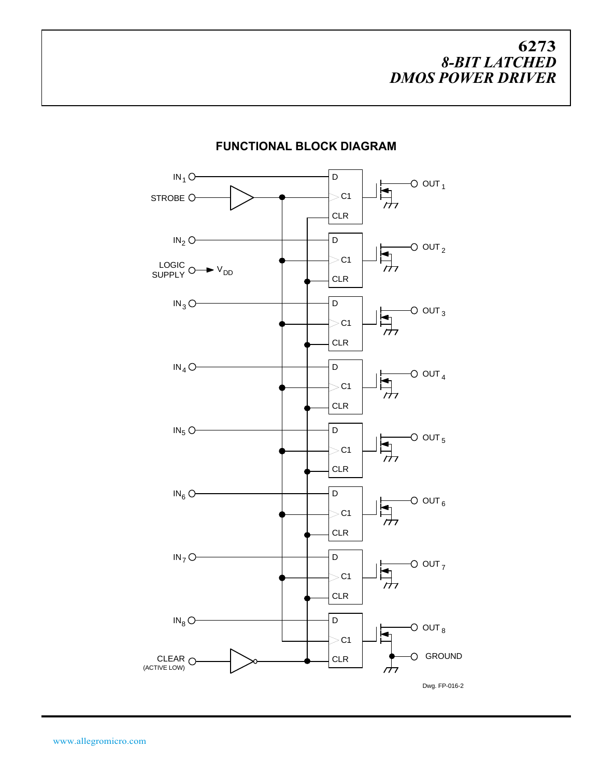

#### **FUNCTIONAL BLOCK DIAGRAM**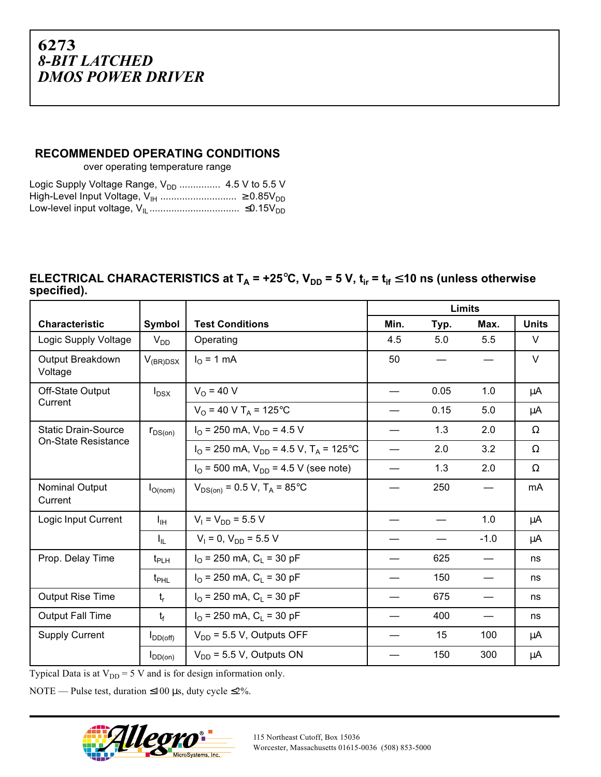#### **RECOMMENDED OPERATING CONDITIONS**

over operating temperature range

| Logic Supply Voltage Range, $V_{DD}$ 4.5 V to 5.5 V |  |
|-----------------------------------------------------|--|
|                                                     |  |
|                                                     |  |

#### **ELECTRICAL CHARACTERISTICS at T<sub>A</sub> = +25°C, V<sub>DD</sub> = 5 V, t<sub>ir</sub> = t<sub>if</sub> ≤ 10 ns (unless otherwise specified).**

|                             |                  |                                                                         | <b>Limits</b> |      |        |              |
|-----------------------------|------------------|-------------------------------------------------------------------------|---------------|------|--------|--------------|
| <b>Characteristic</b>       | Symbol           | <b>Test Conditions</b>                                                  | Min.          | Typ. | Max.   | <b>Units</b> |
| Logic Supply Voltage        | $V_{DD}$         | Operating                                                               | 4.5           | 5.0  | 5.5    | V            |
| Output Breakdown<br>Voltage | $V_{(BR)DSX}$    | $IO$ = 1 mA                                                             | 50            |      |        | $\vee$       |
| Off-State Output            | $I_{DSX}$        | $V_0$ = 40 V                                                            |               | 0.05 | 1.0    | μA           |
| Current                     |                  | $V_{O}$ = 40 V T <sub>A</sub> = 125 °C                                  |               | 0.15 | 5.0    | μA           |
| <b>Static Drain-Source</b>  | $r_{DS(on)}$     | $I_{\Omega}$ = 250 mA, $V_{DD}$ = 4.5 V                                 |               | 1.3  | 2.0    | $\Omega$     |
| <b>On-State Resistance</b>  |                  | $I_{\Omega}$ = 250 mA, $V_{\text{DD}}$ = 4.5 V, T <sub>A</sub> = 125 °C |               | 2.0  | 3.2    | $\Omega$     |
|                             |                  | $I_{\Omega}$ = 500 mA, $V_{\text{DD}}$ = 4.5 V (see note)               |               | 1.3  | 2.0    | $\Omega$     |
| Nominal Output<br>Current   | $I_{O(nom)}$     | $V_{DS(on)} = 0.5 V$ , $T_A = 85$ °C                                    |               | 250  |        | mA           |
| Logic Input Current         | $I_{\text{IH}}$  | $V_1 = V_{DD} = 5.5 V$                                                  |               |      | 1.0    | μA           |
|                             | $I_{IL}$         | $V_1 = 0$ , $V_{DD} = 5.5$ V                                            |               |      | $-1.0$ | μA           |
| Prop. Delay Time            | $t_{\text{PLH}}$ | $I_{\Omega}$ = 250 mA, C <sub>1</sub> = 30 pF                           |               | 625  |        | ns           |
|                             | $t_{\text{PHL}}$ | $I_{\Omega}$ = 250 mA, C <sub>1</sub> = 30 pF                           |               | 150  |        | ns           |
| <b>Output Rise Time</b>     | $t_{r}$          | $I_{\Omega}$ = 250 mA, C <sub>1</sub> = 30 pF                           |               | 675  |        | ns           |
| <b>Output Fall Time</b>     | $t_{\rm f}$      | $I_{\Omega}$ = 250 mA, C <sub>1</sub> = 30 pF                           |               | 400  |        | ns           |
| <b>Supply Current</b>       | $I_{DD(off)}$    | $V_{DD}$ = 5.5 V, Outputs OFF                                           |               | 15   | 100    | μA           |
|                             | $I_{DD(on)}$     | $V_{DD}$ = 5.5 V, Outputs ON                                            |               | 150  | 300    | $\mu$ A      |

Typical Data is at  $V_{DD} = 5$  V and is for design information only.

NOTE — Pulse test, duration  $\leq 100 \,\mu s$ , duty cycle  $\leq 2\%$ .

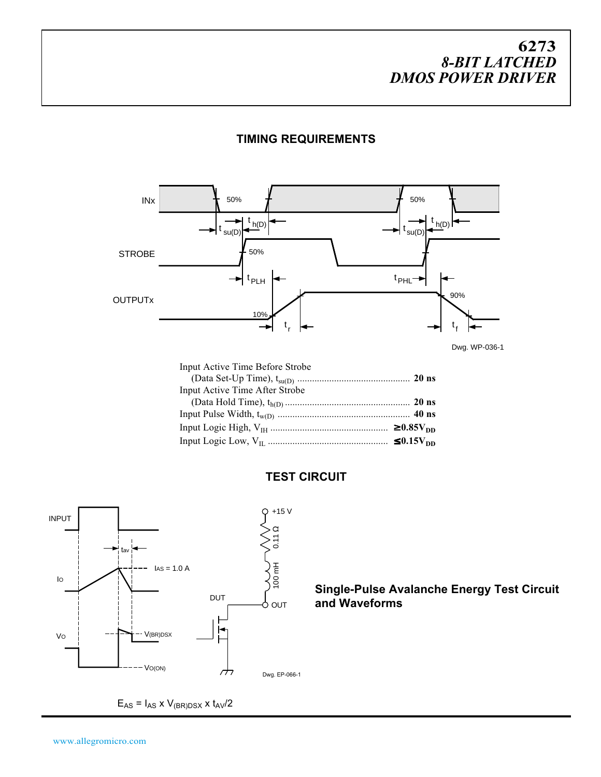

**TIMING REQUIREMENTS**

Dwg. WP-036-1

| Input Active Time Before Strobe |  |
|---------------------------------|--|
|                                 |  |
| Input Active Time After Strobe  |  |
|                                 |  |
|                                 |  |
|                                 |  |
|                                 |  |

#### **TEST CIRCUIT**



**DUT**  $\bigcap_{D\cup\mathsf{T}}$  **Single-Pulse Avalanche Energy Test Circuit and Waveforms**

 $\mathsf{E}_{\mathsf{AS}} = \mathsf{I}_{\mathsf{AS}} \times \mathsf{V}_{\mathsf{(BR)DSX}} \times \mathsf{t}_{\mathsf{AV}}/2$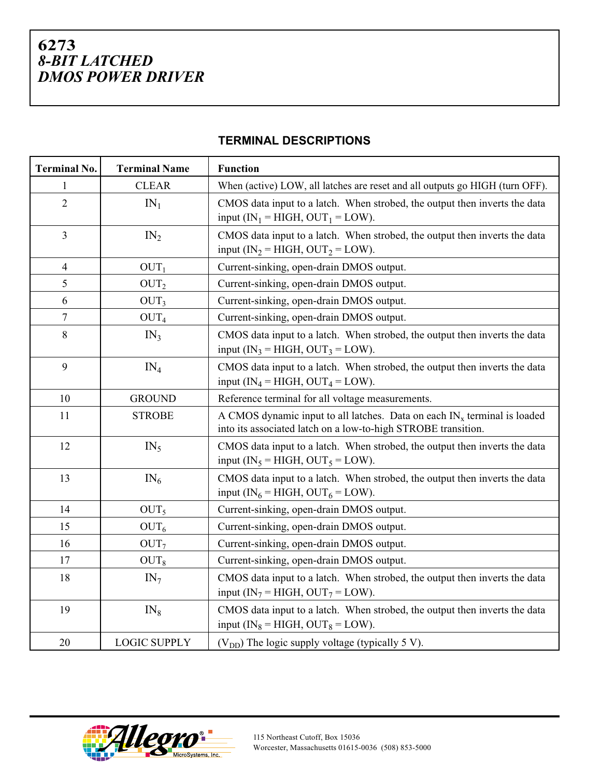|  | <b>TERMINAL DESCRIPTIONS</b> |
|--|------------------------------|
|--|------------------------------|

| <b>Terminal No.</b>      | <b>Terminal Name</b> | <b>Function</b>                                                                                                                              |
|--------------------------|----------------------|----------------------------------------------------------------------------------------------------------------------------------------------|
| 1                        | <b>CLEAR</b>         | When (active) LOW, all latches are reset and all outputs go HIGH (turn OFF).                                                                 |
| $\overline{2}$           | $IN_1$               | CMOS data input to a latch. When strobed, the output then inverts the data<br>input (IN <sub>1</sub> = HIGH, OUT <sub>1</sub> = LOW).        |
| 3                        | IN <sub>2</sub>      | CMOS data input to a latch. When strobed, the output then inverts the data<br>input (IN <sub>2</sub> = HIGH, OUT <sub>2</sub> = LOW).        |
| $\overline{\mathcal{L}}$ | OUT <sub>1</sub>     | Current-sinking, open-drain DMOS output.                                                                                                     |
| 5                        | OUT <sub>2</sub>     | Current-sinking, open-drain DMOS output.                                                                                                     |
| 6                        | OUT <sub>3</sub>     | Current-sinking, open-drain DMOS output.                                                                                                     |
| $\tau$                   | OUT <sub>4</sub>     | Current-sinking, open-drain DMOS output.                                                                                                     |
| 8                        | IN <sub>3</sub>      | CMOS data input to a latch. When strobed, the output then inverts the data<br>input (IN <sub>3</sub> = HIGH, OUT <sub>3</sub> = LOW).        |
| 9                        | $IN_4$               | CMOS data input to a latch. When strobed, the output then inverts the data<br>input (IN <sub>4</sub> = HIGH, OUT <sub>4</sub> = LOW).        |
| 10                       | <b>GROUND</b>        | Reference terminal for all voltage measurements.                                                                                             |
| 11                       | <b>STROBE</b>        | A CMOS dynamic input to all latches. Data on each $IN_x$ terminal is loaded<br>into its associated latch on a low-to-high STROBE transition. |
| 12                       | $IN_5$               | CMOS data input to a latch. When strobed, the output then inverts the data<br>input (IN <sub>5</sub> = HIGH, OUT <sub>5</sub> = LOW).        |
| 13                       | $IN_6$               | CMOS data input to a latch. When strobed, the output then inverts the data<br>input (IN <sub>6</sub> = HIGH, OUT <sub>6</sub> = LOW).        |
| 14                       | OUT <sub>5</sub>     | Current-sinking, open-drain DMOS output.                                                                                                     |
| 15                       | OUT <sub>6</sub>     | Current-sinking, open-drain DMOS output.                                                                                                     |
| 16                       | OUT <sub>7</sub>     | Current-sinking, open-drain DMOS output.                                                                                                     |
| 17                       | OUT <sub>8</sub>     | Current-sinking, open-drain DMOS output.                                                                                                     |
| 18                       | $IN_7$               | CMOS data input to a latch. When strobed, the output then inverts the data<br>input (IN <sub>7</sub> = HIGH, OUT <sub>7</sub> = LOW).        |
| 19                       | $IN_8$               | CMOS data input to a latch. When strobed, the output then inverts the data<br>input ( $IN_8 = HIGH$ , $OUT_8 = LOW$ ).                       |
| 20                       | <b>LOGIC SUPPLY</b>  | $(V_{DD})$ The logic supply voltage (typically 5 V).                                                                                         |

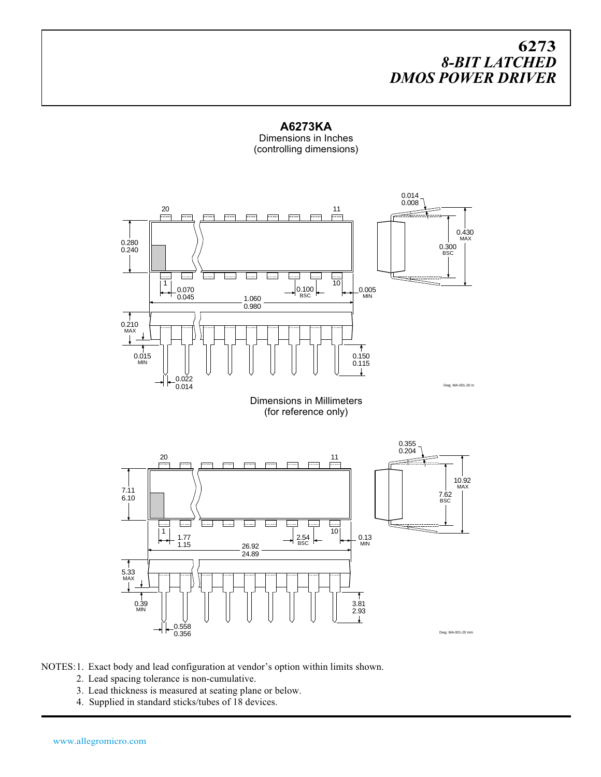**A6273KA** Dimensions in Inches (controlling dimensions)



NOTES:1. Exact body and lead configuration at vendor's option within limits shown.

- 2. Lead spacing tolerance is non-cumulative.
- 3. Lead thickness is measured at seating plane or below.
- 4. Supplied in standard sticks/tubes of 18 devices.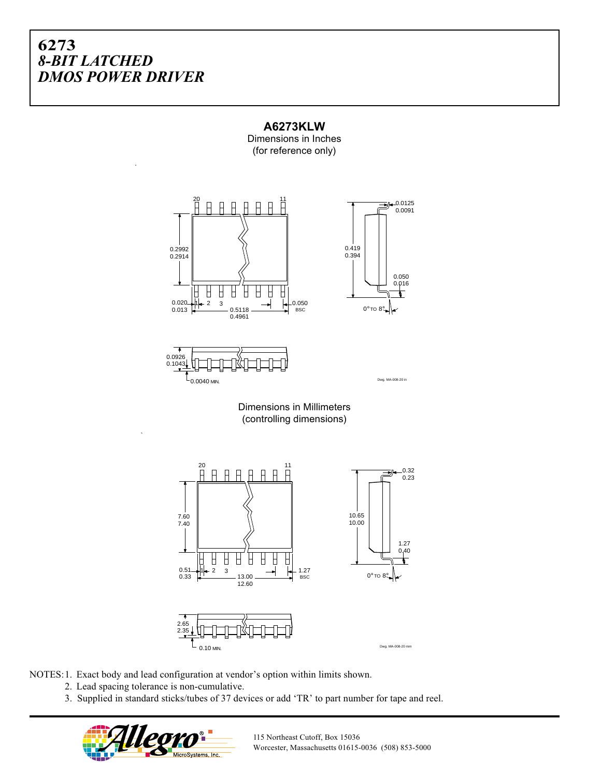



Dimensions in Millimeters (controlling dimensions)



NOTES:1. Exact body and lead configuration at vendor's option within limits shown.

- 2. Lead spacing tolerance is non-cumulative.
- 3. Supplied in standard sticks/tubes of 37 devices or add 'TR' to part number for tape and reel.



115 Northeast Cutoff, Box 15036 Worcester, Massachusetts 01615-0036 (508) 853-5000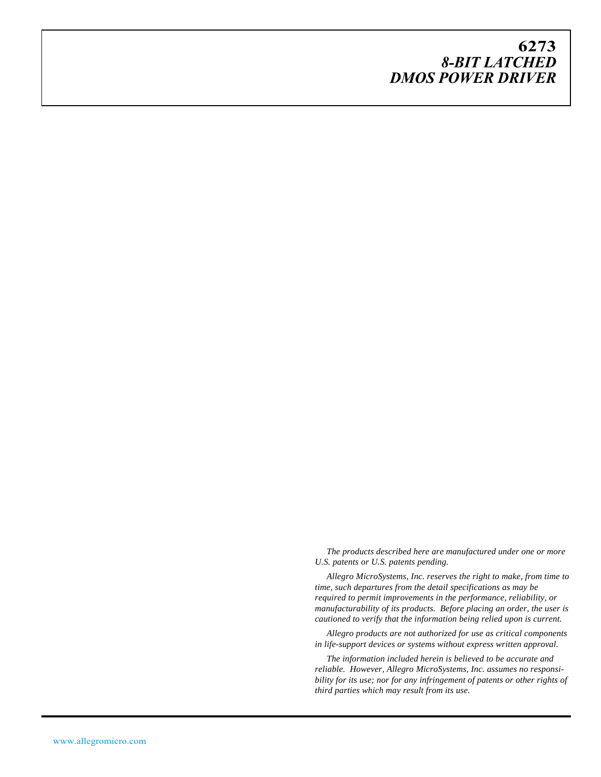*The products described here are manufactured under one or more U.S. patents or U.S. patents pending.*

*Allegro MicroSystems, Inc. reserves the right to make, from time to time, such departures from the detail specifications as may be required to permit improvements in the performance, reliability, or manufacturability of its products. Before placing an order, the user is cautioned to verify that the information being relied upon is current.*

*Allegro products are not authorized for use as critical components in life-support devices or systems without express written approval.*

*The information included herein is believed to be accurate and reliable. However, Allegro MicroSystems, Inc. assumes no responsibility for its use; nor for any infringement of patents or other rights of third parties which may result from its use.*